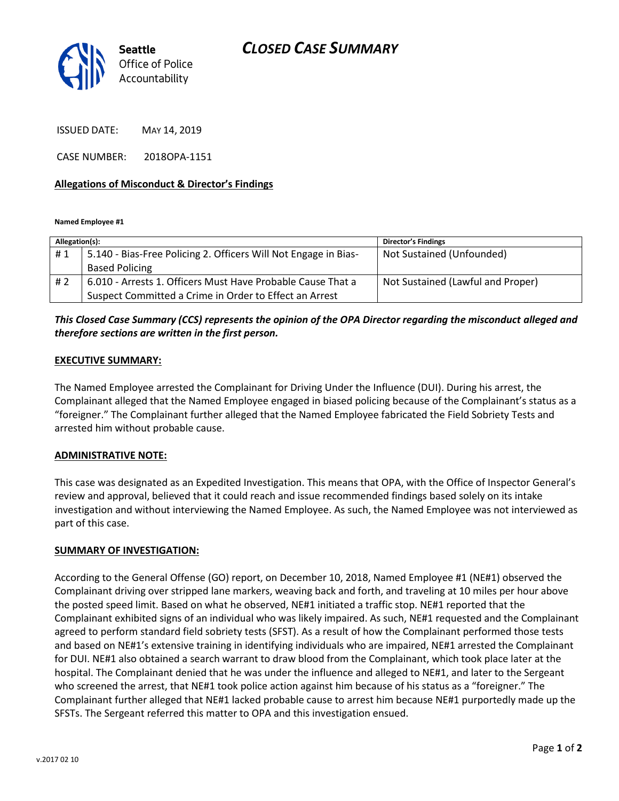

ISSUED DATE: MAY 14, 2019

CASE NUMBER: 2018OPA-1151

### **Allegations of Misconduct & Director's Findings**

**Named Employee #1**

| Allegation(s): |                                                                 | <b>Director's Findings</b>        |
|----------------|-----------------------------------------------------------------|-----------------------------------|
| #1             | 5.140 - Bias-Free Policing 2. Officers Will Not Engage in Bias- | Not Sustained (Unfounded)         |
|                | <b>Based Policing</b>                                           |                                   |
| #2             | 6.010 - Arrests 1. Officers Must Have Probable Cause That a     | Not Sustained (Lawful and Proper) |
|                | Suspect Committed a Crime in Order to Effect an Arrest          |                                   |

# *This Closed Case Summary (CCS) represents the opinion of the OPA Director regarding the misconduct alleged and therefore sections are written in the first person.*

#### **EXECUTIVE SUMMARY:**

The Named Employee arrested the Complainant for Driving Under the Influence (DUI). During his arrest, the Complainant alleged that the Named Employee engaged in biased policing because of the Complainant's status as a "foreigner." The Complainant further alleged that the Named Employee fabricated the Field Sobriety Tests and arrested him without probable cause.

#### **ADMINISTRATIVE NOTE:**

This case was designated as an Expedited Investigation. This means that OPA, with the Office of Inspector General's review and approval, believed that it could reach and issue recommended findings based solely on its intake investigation and without interviewing the Named Employee. As such, the Named Employee was not interviewed as part of this case.

#### **SUMMARY OF INVESTIGATION:**

According to the General Offense (GO) report, on December 10, 2018, Named Employee #1 (NE#1) observed the Complainant driving over stripped lane markers, weaving back and forth, and traveling at 10 miles per hour above the posted speed limit. Based on what he observed, NE#1 initiated a traffic stop. NE#1 reported that the Complainant exhibited signs of an individual who was likely impaired. As such, NE#1 requested and the Complainant agreed to perform standard field sobriety tests (SFST). As a result of how the Complainant performed those tests and based on NE#1's extensive training in identifying individuals who are impaired, NE#1 arrested the Complainant for DUI. NE#1 also obtained a search warrant to draw blood from the Complainant, which took place later at the hospital. The Complainant denied that he was under the influence and alleged to NE#1, and later to the Sergeant who screened the arrest, that NE#1 took police action against him because of his status as a "foreigner." The Complainant further alleged that NE#1 lacked probable cause to arrest him because NE#1 purportedly made up the SFSTs. The Sergeant referred this matter to OPA and this investigation ensued.